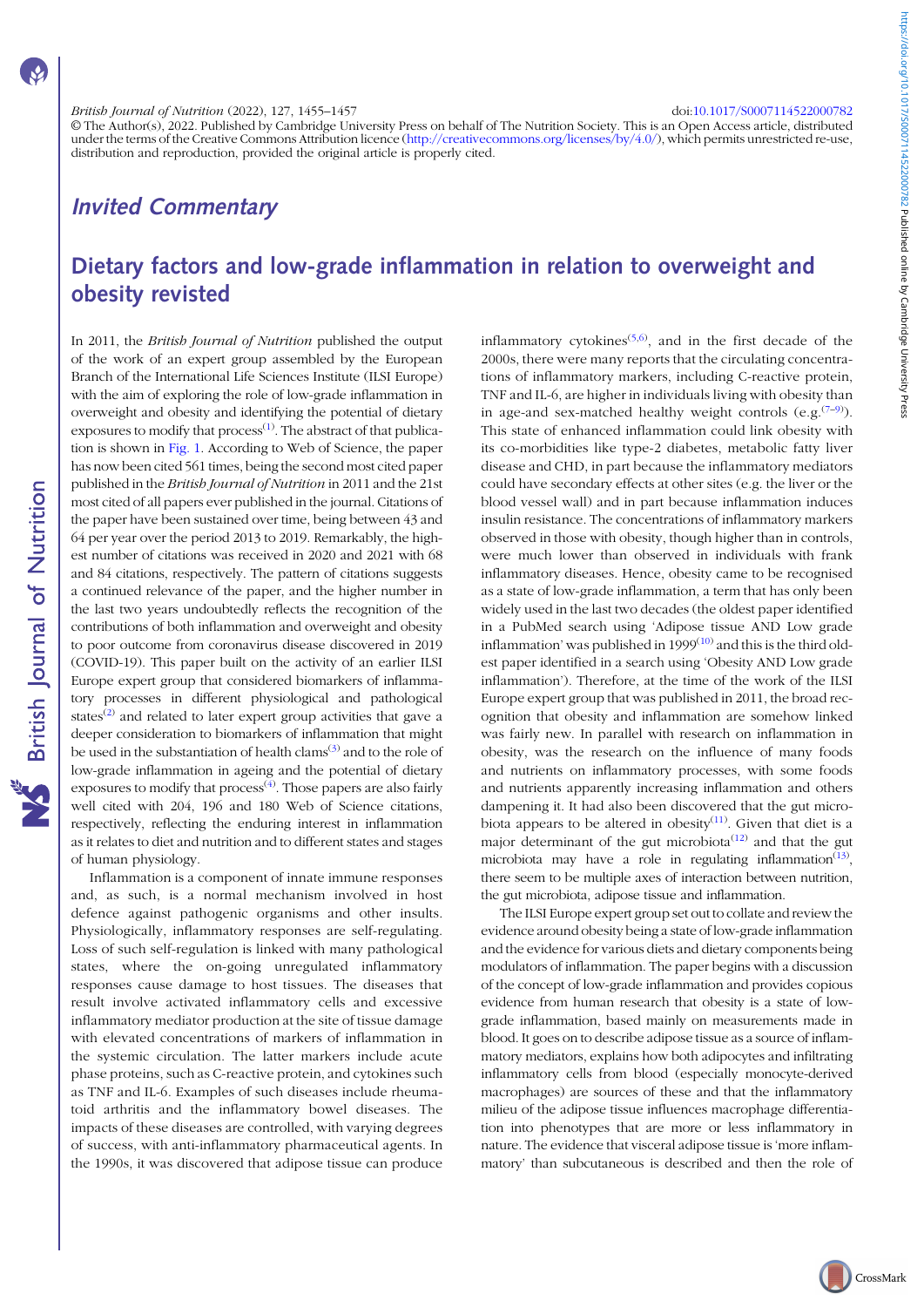# British Journal of Nutrition (2022), 127, 1455–1457 doi:[10.1017/S0007114522000782](https://doi.org/10.1017/S0007114522000782)

© The Author(s), 2022. Published by Cambridge University Press on behalf of The Nutrition Society. This is an Open Access article, distributed under the terms of the Creative Commons Attribution licence [\(http://creativecommons.org/licenses/by/4.0/](http://creativecommons.org/licenses/by/4.0/)), which permits unrestricted re-use, distribution and reproduction, provided the original article is properly cited.

# Invited Commentary

# Dietary factors and low-grade inflammation in relation to overweight and obesity revisted

**NS** British Journal of Nutrition

In 2011, the British Journal of Nutrition published the output of the work of an expert group assembled by the European Branch of the International Life Sciences Institute (ILSI Europe) with the aim of exploring the role of low-grade inflammation in overweight and obesity and identifying the potential of dietary exposures to modify that  $\text{process}^{(1)}$  $\text{process}^{(1)}$  $\text{process}^{(1)}$ . The abstract of that publication is shown in [Fig. 1](#page-1-0). According to Web of Science, the paper has now been cited 561 times, being the second most cited paper published in the British Journal of Nutrition in 2011 and the 21st most cited of all papers ever published in the journal. Citations of the paper have been sustained over time, being between 43 and 64 per year over the period 2013 to 2019. Remarkably, the highest number of citations was received in 2020 and 2021 with 68 and 84 citations, respectively. The pattern of citations suggests a continued relevance of the paper, and the higher number in the last two years undoubtedly reflects the recognition of the contributions of both inflammation and overweight and obesity to poor outcome from coronavirus disease discovered in 2019 (COVID-19). This paper built on the activity of an earlier ILSI Europe expert group that considered biomarkers of inflammatory processes in different physiological and pathological states<sup>([2\)](#page-2-0)</sup> and related to later expert group activities that gave a deeper consideration to biomarkers of inflammation that might be used in the substantiation of health clams<sup> $(3)$  $(3)$ </sup> and to the role of low-grade inflammation in ageing and the potential of dietary exposures to modify that process<sup>[\(4](#page-2-0))</sup>. Those papers are also fairly well cited with 204, 196 and 180 Web of Science citations, respectively, reflecting the enduring interest in inflammation as it relates to diet and nutrition and to different states and stages of human physiology.

Inflammation is a component of innate immune responses and, as such, is a normal mechanism involved in host defence against pathogenic organisms and other insults. Physiologically, inflammatory responses are self-regulating. Loss of such self-regulation is linked with many pathological states, where the on-going unregulated inflammatory responses cause damage to host tissues. The diseases that result involve activated inflammatory cells and excessive inflammatory mediator production at the site of tissue damage with elevated concentrations of markers of inflammation in the systemic circulation. The latter markers include acute phase proteins, such as C-reactive protein, and cytokines such as TNF and IL-6. Examples of such diseases include rheumatoid arthritis and the inflammatory bowel diseases. The impacts of these diseases are controlled, with varying degrees of success, with anti-inflammatory pharmaceutical agents. In the 1990s, it was discovered that adipose tissue can produce

inflammatory cytokines<sup> $(5,6)$  $(5,6)$  $(5,6)$  $(5,6)$  $(5,6)$ </sup>, and in the first decade of the 2000s, there were many reports that the circulating concentrations of inflammatory markers, including C-reactive protein, TNF and IL-6, are higher in individuals living with obesity than in age-and sex-matched healthy weight controls  $(e.g.<sup>(7-9)</sup>)$  $(e.g.<sup>(7-9)</sup>)$  $(e.g.<sup>(7-9)</sup>)$  $(e.g.<sup>(7-9)</sup>)$  $(e.g.<sup>(7-9)</sup>)$ . This state of enhanced inflammation could link obesity with its co-morbidities like type-2 diabetes, metabolic fatty liver disease and CHD, in part because the inflammatory mediators could have secondary effects at other sites (e.g. the liver or the blood vessel wall) and in part because inflammation induces insulin resistance. The concentrations of inflammatory markers observed in those with obesity, though higher than in controls, were much lower than observed in individuals with frank inflammatory diseases. Hence, obesity came to be recognised as a state of low-grade inflammation, a term that has only been widely used in the last two decades (the oldest paper identified in a PubMed search using 'Adipose tissue AND Low grade inflammation' was published in  $1999^{(10)}$  $1999^{(10)}$  $1999^{(10)}$  and this is the third oldest paper identified in a search using 'Obesity AND Low grade inflammation'). Therefore, at the time of the work of the ILSI Europe expert group that was published in 2011, the broad recognition that obesity and inflammation are somehow linked was fairly new. In parallel with research on inflammation in obesity, was the research on the influence of many foods and nutrients on inflammatory processes, with some foods and nutrients apparently increasing inflammation and others dampening it. It had also been discovered that the gut microbiota appears to be altered in obesity $(11)$ . Given that diet is a major determinant of the gut microbiota<sup> $(12)$ </sup> and that the gut microbiota may have a role in regulating inflammation $(13)$  $(13)$ , there seem to be multiple axes of interaction between nutrition, the gut microbiota, adipose tissue and inflammation.

The ILSI Europe expert group set out to collate and review the evidence around obesity being a state of low-grade inflammation and the evidence for various diets and dietary components being modulators of inflammation. The paper begins with a discussion of the concept of low-grade inflammation and provides copious evidence from human research that obesity is a state of lowgrade inflammation, based mainly on measurements made in blood. It goes on to describe adipose tissue as a source of inflammatory mediators, explains how both adipocytes and infiltrating inflammatory cells from blood (especially monocyte-derived macrophages) are sources of these and that the inflammatory milieu of the adipose tissue influences macrophage differentiation into phenotypes that are more or less inflammatory in nature. The evidence that visceral adipose tissue is 'more inflammatory' than subcutaneous is described and then the role of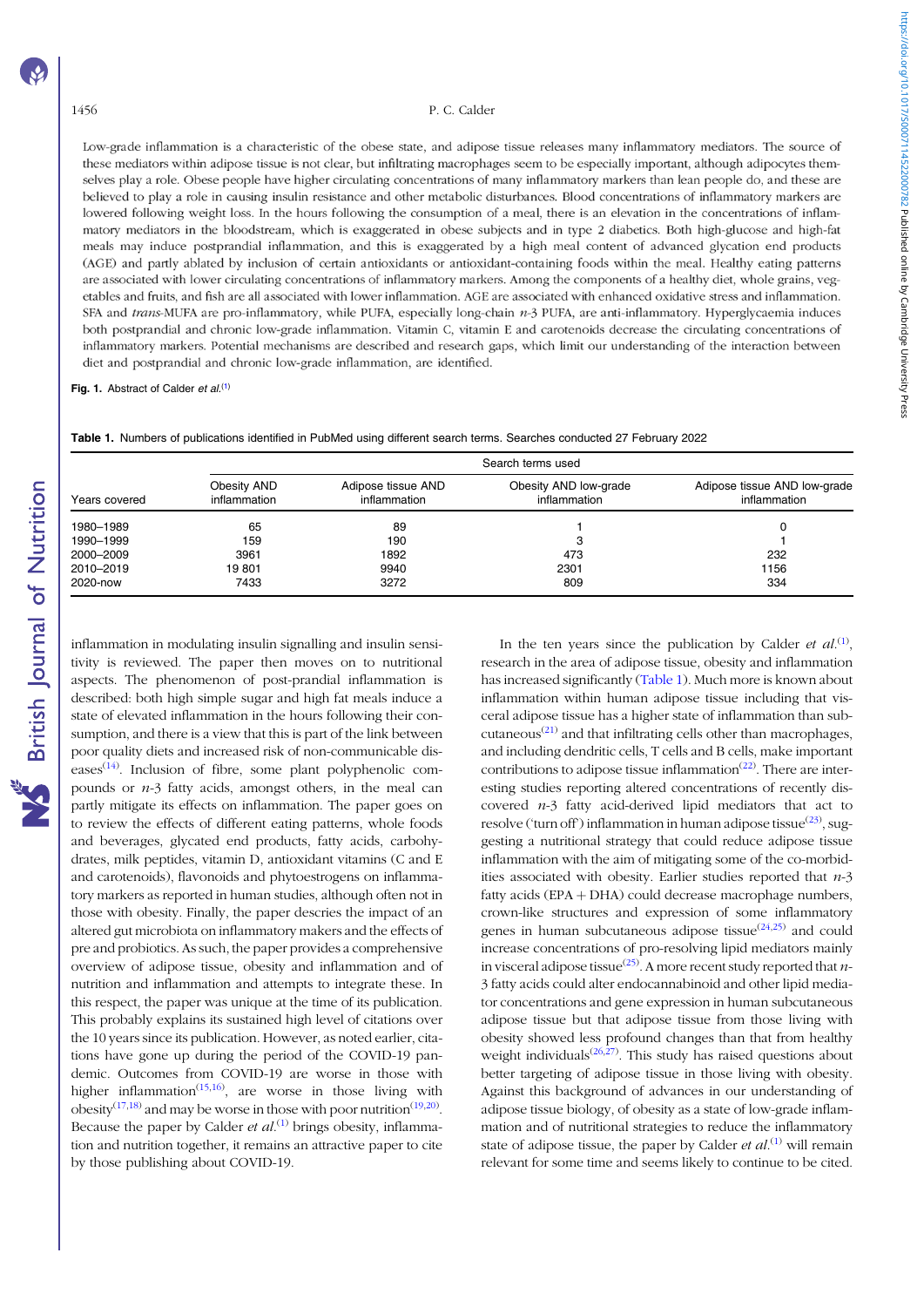#### <span id="page-1-0"></span>1456 P. C. Calder

Low-grade inflammation is a characteristic of the obese state, and adipose tissue releases many inflammatory mediators. The source of these mediators within adipose tissue is not clear, but infiltrating macrophages seem to be especially important, although adipocytes themselves play a role. Obese people have higher circulating concentrations of many inflammatory markers than lean people do, and these are believed to play a role in causing insulin resistance and other metabolic disturbances. Blood concentrations of inflammatory markers are lowered following weight loss. In the hours following the consumption of a meal, there is an elevation in the concentrations of inflammatory mediators in the bloodstream, which is exaggerated in obese subjects and in type 2 diabetics. Both high-glucose and high-fat meals may induce postprandial inflammation, and this is exaggerated by a high meal content of advanced glycation end products (AGE) and partly ablated by inclusion of certain antioxidants or antioxidant-containing foods within the meal. Healthy eating patterns are associated with lower circulating concentrations of inflammatory markers. Among the components of a healthy diet, whole grains, vegetables and fruits, and fish are all associated with lower inflammation. AGE are associated with enhanced oxidative stress and inflammation. SFA and trans-MUFA are pro-inflammatory, while PUFA, especially long-chain n-3 PUFA, are anti-inflammatory. Hyperglycaemia induces both postprandial and chronic low-grade inflammation. Vitamin C, vitamin E and carotenoids decrease the circulating concentrations of inflammatory markers. Potential mechanisms are described and research gaps, which limit our understanding of the interaction between diet and postprandial and chronic low-grade inflammation, are identified.

Fig. 1. Abstract of Calder et  $al^{(1)}$  $al^{(1)}$  $al^{(1)}$ 

Table 1. Numbers of publications identified in PubMed using different search terms. Searches conducted 27 February 2022

| Years covered | Search terms used           |                                    |                                       |                                              |
|---------------|-----------------------------|------------------------------------|---------------------------------------|----------------------------------------------|
|               | Obesity AND<br>inflammation | Adipose tissue AND<br>inflammation | Obesity AND low-grade<br>inflammation | Adipose tissue AND low-grade<br>inflammation |
| 1980-1989     | 65                          | 89                                 |                                       |                                              |
| 1990-1999     | 159                         | 190                                |                                       |                                              |
| 2000-2009     | 3961                        | 1892                               | 473                                   | 232                                          |
| 2010-2019     | 19801                       | 9940                               | 2301                                  | 1156                                         |
| 2020-now      | 7433                        | 3272                               | 809                                   | 334                                          |

inflammation in modulating insulin signalling and insulin sensitivity is reviewed. The paper then moves on to nutritional aspects. The phenomenon of post-prandial inflammation is described: both high simple sugar and high fat meals induce a state of elevated inflammation in the hours following their consumption, and there is a view that this is part of the link between poor quality diets and increased risk of non-communicable diseases $(14)$ . Inclusion of fibre, some plant polyphenolic compounds or  $n-3$  fatty acids, amongst others, in the meal can partly mitigate its effects on inflammation. The paper goes on to review the effects of different eating patterns, whole foods and beverages, glycated end products, fatty acids, carbohydrates, milk peptides, vitamin D, antioxidant vitamins (C and E and carotenoids), flavonoids and phytoestrogens on inflammatory markers as reported in human studies, although often not in those with obesity. Finally, the paper descries the impact of an altered gut microbiota on inflammatory makers and the effects of pre and probiotics. As such, the paper provides a comprehensive overview of adipose tissue, obesity and inflammation and of nutrition and inflammation and attempts to integrate these. In this respect, the paper was unique at the time of its publication. This probably explains its sustained high level of citations over the 10 years since its publication. However, as noted earlier, citations have gone up during the period of the COVID-19 pandemic. Outcomes from COVID-19 are worse in those with higher inflammation<sup>([15,16\)](#page-2-0)</sup>, are worse in those living with obesity<sup>[\(17](#page-2-0),[18](#page-2-0))</sup> and may be worse in those with poor nutrition<sup>([19,20\)](#page-2-0)</sup>. Because the paper by Calder *et al.*<sup>([1\)](#page-2-0)</sup> brings obesity, inflammation and nutrition together, it remains an attractive paper to cite by those publishing about COVID-19.

In the ten years since the publication by Calder et  $al^{(1)}$  $al^{(1)}$  $al^{(1)}$ , research in the area of adipose tissue, obesity and inflammation has increased significantly (Table 1). Much more is known about inflammation within human adipose tissue including that visceral adipose tissue has a higher state of inflammation than subcutaneous<sup> $(21)$  $(21)$ </sup> and that infiltrating cells other than macrophages, and including dendritic cells, T cells and B cells, make important contributions to adipose tissue inflammation<sup> $(22)$  $(22)$ </sup>. There are interesting studies reporting altered concentrations of recently discovered  $n-3$  fatty acid-derived lipid mediators that act to resolve ('turn off') inflammation in human adipose tissue $^{(23)}$  $^{(23)}$  $^{(23)}$ , suggesting a nutritional strategy that could reduce adipose tissue inflammation with the aim of mitigating some of the co-morbidities associated with obesity. Earlier studies reported that  $n-3$ fatty acids  $(EPA + DHA)$  could decrease macrophage numbers, crown-like structures and expression of some inflammatory genes in human subcutaneous adipose tissue $(24,25)$  $(24,25)$  and could increase concentrations of pro-resolving lipid mediators mainly in visceral adipose tissue<sup>([25\)](#page-2-0)</sup>. A more recent study reported that *n*-3 fatty acids could alter endocannabinoid and other lipid mediator concentrations and gene expression in human subcutaneous adipose tissue but that adipose tissue from those living with obesity showed less profound changes than that from healthy weight individuals $(26,27)$  $(26,27)$ . This study has raised questions about better targeting of adipose tissue in those living with obesity. Against this background of advances in our understanding of adipose tissue biology, of obesity as a state of low-grade inflammation and of nutritional strategies to reduce the inflammatory state of adipose tissue, the paper by Calder *et al.*<sup>([1\)](#page-2-0)</sup> will remain relevant for some time and seems likely to continue to be cited.